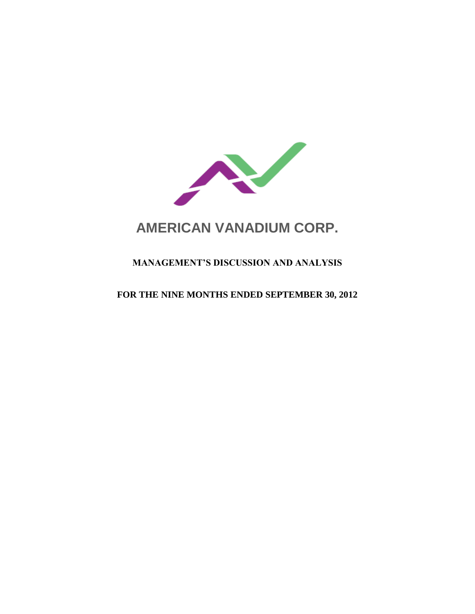

# **AMERICAN VANADIUM CORP.**

# **MANAGEMENT'S DISCUSSION AND ANALYSIS**

## **FOR THE NINE MONTHS ENDED SEPTEMBER 30, 2012**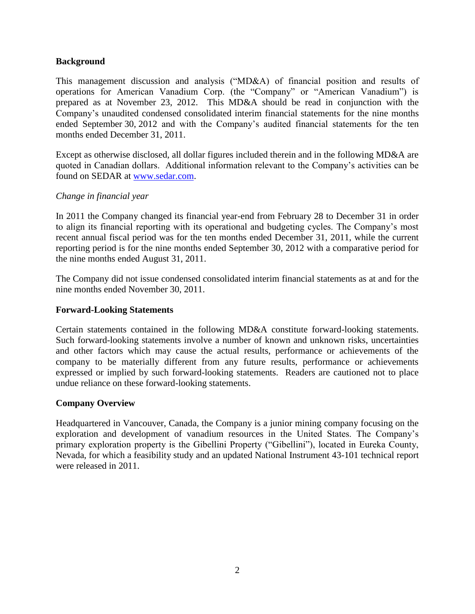## **Background**

This management discussion and analysis ("MD&A) of financial position and results of operations for American Vanadium Corp. (the "Company" or "American Vanadium") is prepared as at November 23, 2012. This MD&A should be read in conjunction with the Company's unaudited condensed consolidated interim financial statements for the nine months ended September 30, 2012 and with the Company's audited financial statements for the ten months ended December 31, 2011.

Except as otherwise disclosed, all dollar figures included therein and in the following MD&A are quoted in Canadian dollars. Additional information relevant to the Company's activities can be found on SEDAR at [www.sedar.com.](http://www.sedar.com/)

## *Change in financial year*

In 2011 the Company changed its financial year-end from February 28 to December 31 in order to align its financial reporting with its operational and budgeting cycles. The Company's most recent annual fiscal period was for the ten months ended December 31, 2011, while the current reporting period is for the nine months ended September 30, 2012 with a comparative period for the nine months ended August 31, 2011.

The Company did not issue condensed consolidated interim financial statements as at and for the nine months ended November 30, 2011.

## **Forward-Looking Statements**

Certain statements contained in the following MD&A constitute forward-looking statements. Such forward-looking statements involve a number of known and unknown risks, uncertainties and other factors which may cause the actual results, performance or achievements of the company to be materially different from any future results, performance or achievements expressed or implied by such forward-looking statements. Readers are cautioned not to place undue reliance on these forward-looking statements.

## **Company Overview**

Headquartered in Vancouver, Canada, the Company is a junior mining company focusing on the exploration and development of vanadium resources in the United States. The Company's primary exploration property is the Gibellini Property ("Gibellini"), located in Eureka County, Nevada, for which a feasibility study and an updated National Instrument 43-101 technical report were released in 2011.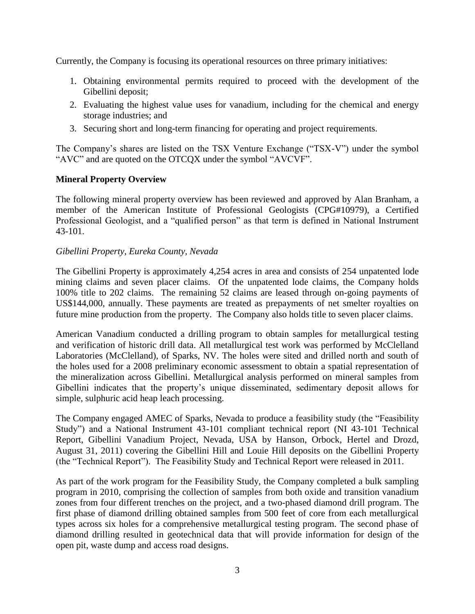Currently, the Company is focusing its operational resources on three primary initiatives:

- 1. Obtaining environmental permits required to proceed with the development of the Gibellini deposit;
- 2. Evaluating the highest value uses for vanadium, including for the chemical and energy storage industries; and
- 3. Securing short and long-term financing for operating and project requirements.

The Company's shares are listed on the TSX Venture Exchange ("TSX-V") under the symbol "AVC" and are quoted on the OTCQX under the symbol "AVCVF".

## **Mineral Property Overview**

The following mineral property overview has been reviewed and approved by Alan Branham, a member of the American Institute of Professional Geologists (CPG#10979), a Certified Professional Geologist, and a "qualified person" as that term is defined in National Instrument 43-101.

## *Gibellini Property, Eureka County, Nevada*

The Gibellini Property is approximately 4,254 acres in area and consists of 254 unpatented lode mining claims and seven placer claims. Of the unpatented lode claims, the Company holds 100% title to 202 claims. The remaining 52 claims are leased through on-going payments of US\$144,000, annually. These payments are treated as prepayments of net smelter royalties on future mine production from the property. The Company also holds title to seven placer claims.

American Vanadium conducted a drilling program to obtain samples for metallurgical testing and verification of historic drill data. All metallurgical test work was performed by McClelland Laboratories (McClelland), of Sparks, NV. The holes were sited and drilled north and south of the holes used for a 2008 preliminary economic assessment to obtain a spatial representation of the mineralization across Gibellini. Metallurgical analysis performed on mineral samples from Gibellini indicates that the property's unique disseminated, sedimentary deposit allows for simple, sulphuric acid heap leach processing.

The Company engaged AMEC of Sparks, Nevada to produce a feasibility study (the "Feasibility Study") and a National Instrument 43-101 compliant technical report (NI 43-101 Technical Report, Gibellini Vanadium Project, Nevada, USA by Hanson, Orbock, Hertel and Drozd, August 31, 2011) covering the Gibellini Hill and Louie Hill deposits on the Gibellini Property (the "Technical Report"). The Feasibility Study and Technical Report were released in 2011.

As part of the work program for the Feasibility Study, the Company completed a bulk sampling program in 2010, comprising the collection of samples from both oxide and transition vanadium zones from four different trenches on the project, and a two-phased diamond drill program. The first phase of diamond drilling obtained samples from 500 feet of core from each metallurgical types across six holes for a comprehensive metallurgical testing program. The second phase of diamond drilling resulted in geotechnical data that will provide information for design of the open pit, waste dump and access road designs.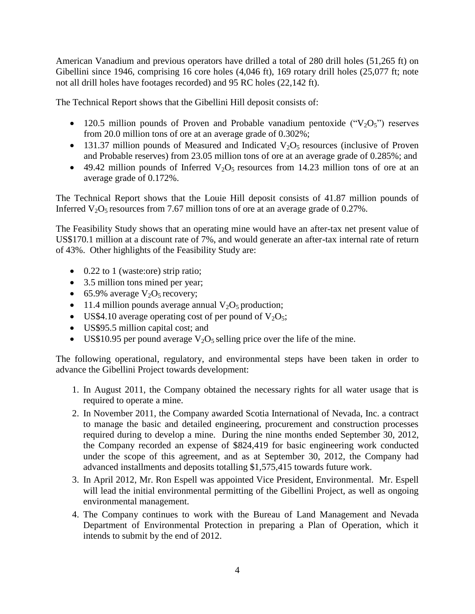American Vanadium and previous operators have drilled a total of 280 drill holes (51,265 ft) on Gibellini since 1946, comprising 16 core holes (4,046 ft), 169 rotary drill holes (25,077 ft; note not all drill holes have footages recorded) and 95 RC holes (22,142 ft).

The Technical Report shows that the Gibellini Hill deposit consists of:

- 120.5 million pounds of Proven and Probable vanadium pentoxide (" $V_2O_5$ ") reserves from 20.0 million tons of ore at an average grade of 0.302%;
- 131.37 million pounds of Measured and Indicated  $V_2O_5$  resources (inclusive of Proven and Probable reserves) from 23.05 million tons of ore at an average grade of 0.285%; and
- $\bullet$  49.42 million pounds of Inferred V<sub>2</sub>O<sub>5</sub> resources from 14.23 million tons of ore at an average grade of 0.172%.

The Technical Report shows that the Louie Hill deposit consists of 41.87 million pounds of Inferred  $V_2O_5$  resources from 7.67 million tons of ore at an average grade of 0.27%.

The Feasibility Study shows that an operating mine would have an after-tax net present value of US\$170.1 million at a discount rate of 7%, and would generate an after-tax internal rate of return of 43%. Other highlights of the Feasibility Study are:

- 0.22 to 1 (waste:ore) strip ratio;
- 3.5 million tons mined per year;
- 65.9% average  $V_2O_5$  recovery;
- 11.4 million pounds average annual  $V_2O_5$  production;
- US\$4.10 average operating cost of per pound of  $V_2O_5$ ;
- US\$95.5 million capital cost; and
- US\$10.95 per pound average  $V_2O_5$  selling price over the life of the mine.

The following operational, regulatory, and environmental steps have been taken in order to advance the Gibellini Project towards development:

- 1. In August 2011, the Company obtained the necessary rights for all water usage that is required to operate a mine.
- 2. In November 2011, the Company awarded Scotia International of Nevada, Inc. a contract to manage the basic and detailed engineering, procurement and construction processes required during to develop a mine. During the nine months ended September 30, 2012, the Company recorded an expense of \$824,419 for basic engineering work conducted under the scope of this agreement, and as at September 30, 2012, the Company had advanced installments and deposits totalling \$1,575,415 towards future work.
- 3. In April 2012, Mr. Ron Espell was appointed Vice President, Environmental. Mr. Espell will lead the initial environmental permitting of the Gibellini Project, as well as ongoing environmental management.
- 4. The Company continues to work with the Bureau of Land Management and Nevada Department of Environmental Protection in preparing a Plan of Operation, which it intends to submit by the end of 2012.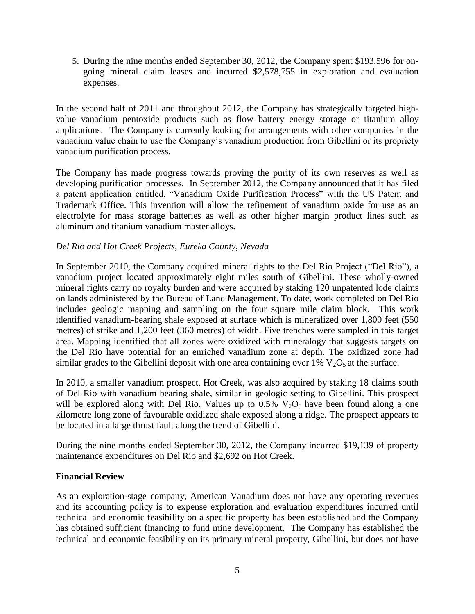5. During the nine months ended September 30, 2012, the Company spent \$193,596 for ongoing mineral claim leases and incurred \$2,578,755 in exploration and evaluation expenses.

In the second half of 2011 and throughout 2012, the Company has strategically targeted highvalue vanadium pentoxide products such as flow battery energy storage or titanium alloy applications. The Company is currently looking for arrangements with other companies in the vanadium value chain to use the Company's vanadium production from Gibellini or its propriety vanadium purification process.

The Company has made progress towards proving the purity of its own reserves as well as developing purification processes. In September 2012, the Company announced that it has filed a patent application entitled, "Vanadium Oxide Purification Process" with the US Patent and Trademark Office. This invention will allow the refinement of vanadium oxide for use as an electrolyte for mass storage batteries as well as other higher margin product lines such as aluminum and titanium vanadium master alloys.

## *Del Rio and Hot Creek Projects, Eureka County, Nevada*

In September 2010, the Company acquired mineral rights to the Del Rio Project ("Del Rio"), a vanadium project located approximately eight miles south of Gibellini. These wholly-owned mineral rights carry no royalty burden and were acquired by staking 120 unpatented lode claims on lands administered by the Bureau of Land Management. To date, work completed on Del Rio includes geologic mapping and sampling on the four square mile claim block. This work identified vanadium-bearing shale exposed at surface which is mineralized over 1,800 feet (550 metres) of strike and 1,200 feet (360 metres) of width. Five trenches were sampled in this target area. Mapping identified that all zones were oxidized with mineralogy that suggests targets on the Del Rio have potential for an enriched vanadium zone at depth. The oxidized zone had similar grades to the Gibellini deposit with one area containing over  $1\%$  V<sub>2</sub>O<sub>5</sub> at the surface.

In 2010, a smaller vanadium prospect, Hot Creek, was also acquired by staking 18 claims south of Del Rio with vanadium bearing shale, similar in geologic setting to Gibellini. This prospect will be explored along with Del Rio. Values up to  $0.5\%$  V<sub>2</sub>O<sub>5</sub> have been found along a one kilometre long zone of favourable oxidized shale exposed along a ridge. The prospect appears to be located in a large thrust fault along the trend of Gibellini.

During the nine months ended September 30, 2012, the Company incurred \$19,139 of property maintenance expenditures on Del Rio and \$2,692 on Hot Creek.

## **Financial Review**

As an exploration-stage company, American Vanadium does not have any operating revenues and its accounting policy is to expense exploration and evaluation expenditures incurred until technical and economic feasibility on a specific property has been established and the Company has obtained sufficient financing to fund mine development. The Company has established the technical and economic feasibility on its primary mineral property, Gibellini, but does not have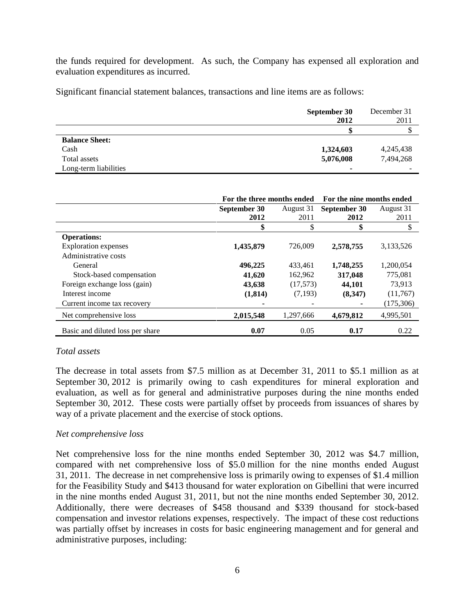the funds required for development. As such, the Company has expensed all exploration and evaluation expenditures as incurred.

Significant financial statement balances, transactions and line items are as follows:

|                       | September 30<br>2012 | December 31<br>2011 |
|-----------------------|----------------------|---------------------|
|                       |                      |                     |
| <b>Balance Sheet:</b> |                      |                     |
| Cash                  | 1,324,603            | 4,245,438           |
| Total assets          | 5,076,008            | 7,494,268           |
| Long-term liabilities | ۰                    |                     |

|                                  | For the three months ended |           | For the nine months ended |           |
|----------------------------------|----------------------------|-----------|---------------------------|-----------|
|                                  | September 30               | August 31 | September 30              | August 31 |
|                                  | 2012                       | 2011      | 2012                      | 2011      |
|                                  | \$                         | \$        | \$                        | \$        |
| <b>Operations:</b>               |                            |           |                           |           |
| <b>Exploration</b> expenses      | 1,435,879                  | 726.009   | 2,578,755                 | 3,133,526 |
| Administrative costs             |                            |           |                           |           |
| General                          | 496,225                    | 433,461   | 1,748,255                 | 1,200,054 |
| Stock-based compensation         | 41,620                     | 162,962   | 317,048                   | 775,081   |
| Foreign exchange loss (gain)     | 43,638                     | (17,573)  | 44,101                    | 73,913    |
| Interest income                  | (1,814)                    | (7,193)   | (8,347)                   | (11,767)  |
| Current income tax recovery      |                            |           |                           | (175,306) |
| Net comprehensive loss           | 2,015,548                  | 1,297,666 | 4,679,812                 | 4,995,501 |
| Basic and diluted loss per share | 0.07                       | 0.05      | 0.17                      | 0.22      |

## *Total assets*

The decrease in total assets from \$7.5 million as at December 31, 2011 to \$5.1 million as at September 30, 2012 is primarily owing to cash expenditures for mineral exploration and evaluation, as well as for general and administrative purposes during the nine months ended September 30, 2012. These costs were partially offset by proceeds from issuances of shares by way of a private placement and the exercise of stock options.

## *Net comprehensive loss*

Net comprehensive loss for the nine months ended September 30, 2012 was \$4.7 million, compared with net comprehensive loss of \$5.0 million for the nine months ended August 31, 2011. The decrease in net comprehensive loss is primarily owing to expenses of \$1.4 million for the Feasibility Study and \$413 thousand for water exploration on Gibellini that were incurred in the nine months ended August 31, 2011, but not the nine months ended September 30, 2012. Additionally, there were decreases of \$458 thousand and \$339 thousand for stock-based compensation and investor relations expenses, respectively. The impact of these cost reductions was partially offset by increases in costs for basic engineering management and for general and administrative purposes, including: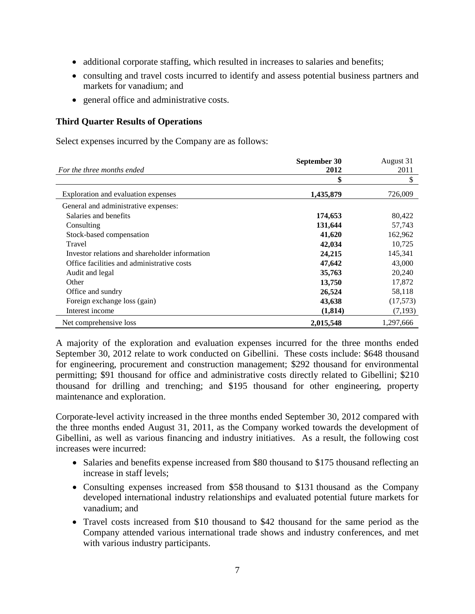- additional corporate staffing, which resulted in increases to salaries and benefits;
- consulting and travel costs incurred to identify and assess potential business partners and markets for vanadium; and
- general office and administrative costs.

#### **Third Quarter Results of Operations**

Select expenses incurred by the Company are as follows:

|                                                | September 30 | August 31 |
|------------------------------------------------|--------------|-----------|
| For the three months ended                     | 2012         | 2011      |
|                                                | \$           | \$        |
| Exploration and evaluation expenses            | 1,435,879    | 726,009   |
| General and administrative expenses:           |              |           |
| Salaries and benefits                          | 174,653      | 80,422    |
| Consulting                                     | 131,644      | 57,743    |
| Stock-based compensation                       | 41,620       | 162,962   |
| Travel                                         | 42,034       | 10,725    |
| Investor relations and shareholder information | 24,215       | 145,341   |
| Office facilities and administrative costs     | 47,642       | 43,000    |
| Audit and legal                                | 35,763       | 20,240    |
| Other                                          | 13,750       | 17,872    |
| Office and sundry                              | 26,524       | 58,118    |
| Foreign exchange loss (gain)                   | 43,638       | (17,573)  |
| Interest income                                | (1,814)      | (7,193)   |
| Net comprehensive loss                         | 2,015,548    | 1,297,666 |

A majority of the exploration and evaluation expenses incurred for the three months ended September 30, 2012 relate to work conducted on Gibellini. These costs include: \$648 thousand for engineering, procurement and construction management; \$292 thousand for environmental permitting; \$91 thousand for office and administrative costs directly related to Gibellini; \$210 thousand for drilling and trenching; and \$195 thousand for other engineering, property maintenance and exploration.

Corporate-level activity increased in the three months ended September 30, 2012 compared with the three months ended August 31, 2011, as the Company worked towards the development of Gibellini, as well as various financing and industry initiatives. As a result, the following cost increases were incurred:

- Salaries and benefits expense increased from \$80 thousand to \$175 thousand reflecting an increase in staff levels;
- Consulting expenses increased from \$58 thousand to \$131 thousand as the Company developed international industry relationships and evaluated potential future markets for vanadium; and
- Travel costs increased from \$10 thousand to \$42 thousand for the same period as the Company attended various international trade shows and industry conferences, and met with various industry participants.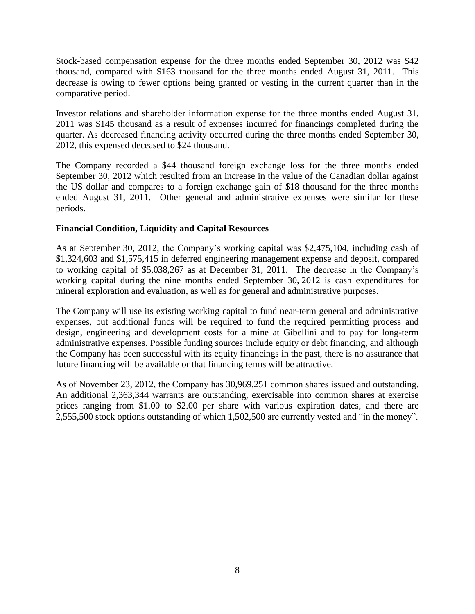Stock-based compensation expense for the three months ended September 30, 2012 was \$42 thousand, compared with \$163 thousand for the three months ended August 31, 2011. This decrease is owing to fewer options being granted or vesting in the current quarter than in the comparative period.

Investor relations and shareholder information expense for the three months ended August 31, 2011 was \$145 thousand as a result of expenses incurred for financings completed during the quarter. As decreased financing activity occurred during the three months ended September 30, 2012, this expensed deceased to \$24 thousand.

The Company recorded a \$44 thousand foreign exchange loss for the three months ended September 30, 2012 which resulted from an increase in the value of the Canadian dollar against the US dollar and compares to a foreign exchange gain of \$18 thousand for the three months ended August 31, 2011. Other general and administrative expenses were similar for these periods.

## **Financial Condition, Liquidity and Capital Resources**

As at September 30, 2012, the Company's working capital was \$2,475,104, including cash of \$1,324,603 and \$1,575,415 in deferred engineering management expense and deposit, compared to working capital of \$5,038,267 as at December 31, 2011. The decrease in the Company's working capital during the nine months ended September 30, 2012 is cash expenditures for mineral exploration and evaluation, as well as for general and administrative purposes.

The Company will use its existing working capital to fund near-term general and administrative expenses, but additional funds will be required to fund the required permitting process and design, engineering and development costs for a mine at Gibellini and to pay for long-term administrative expenses. Possible funding sources include equity or debt financing, and although the Company has been successful with its equity financings in the past, there is no assurance that future financing will be available or that financing terms will be attractive.

As of November 23, 2012, the Company has 30,969,251 common shares issued and outstanding. An additional 2,363,344 warrants are outstanding, exercisable into common shares at exercise prices ranging from \$1.00 to \$2.00 per share with various expiration dates, and there are 2,555,500 stock options outstanding of which 1,502,500 are currently vested and "in the money".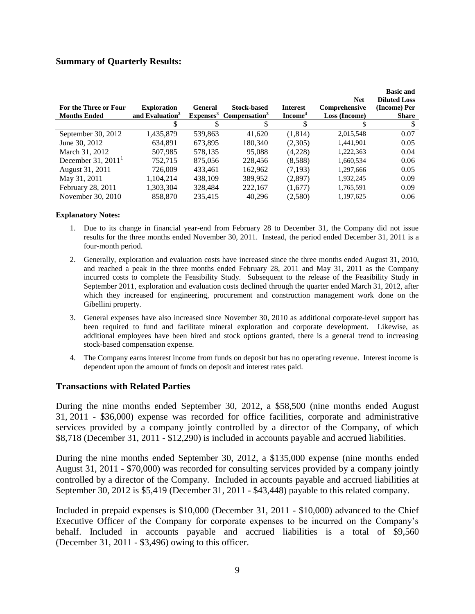#### **Summary of Quarterly Results:**

| For the Three or Four<br><b>Months Ended</b> | <b>Exploration</b><br>and Evaluation <sup>2</sup> | General<br>Expenses <sup>3</sup> | <b>Stock-based</b><br>Compensation <sup>3</sup> | <b>Interest</b><br>Income <sup>4</sup> | <b>Net</b><br>Comprehensive<br>Loss (Income) | <b>Basic and</b><br><b>Diluted Loss</b><br>(Income) Per<br><b>Share</b> |
|----------------------------------------------|---------------------------------------------------|----------------------------------|-------------------------------------------------|----------------------------------------|----------------------------------------------|-------------------------------------------------------------------------|
|                                              |                                                   |                                  |                                                 |                                        |                                              |                                                                         |
| September 30, 2012                           | 1,435,879                                         | 539,863                          | 41.620                                          | (1,814)                                | 2.015.548                                    | 0.07                                                                    |
| June 30, 2012                                | 634,891                                           | 673,895                          | 180,340                                         | (2,305)                                | 1,441,901                                    | 0.05                                                                    |
| March 31, 2012                               | 507,985                                           | 578,135                          | 95,088                                          | (4,228)                                | 1,222,363                                    | 0.04                                                                    |
| December $31, 2011$ <sup>1</sup>             | 752.715                                           | 875,056                          | 228,456                                         | (8,588)                                | 1,660,534                                    | 0.06                                                                    |
| August 31, 2011                              | 726,009                                           | 433,461                          | 162,962                                         | (7, 193)                               | 1,297,666                                    | 0.05                                                                    |
| May 31, 2011                                 | 1.104.214                                         | 438.109                          | 389.952                                         | (2,897)                                | 1,932,245                                    | 0.09                                                                    |
| February 28, 2011                            | 1,303,304                                         | 328,484                          | 222,167                                         | (1,677)                                | 1,765,591                                    | 0.09                                                                    |
| November 30, 2010                            | 858.870                                           | 235,415                          | 40.296                                          | (2,580)                                | 1,197,625                                    | 0.06                                                                    |

#### **Explanatory Notes:**

- 1. Due to its change in financial year-end from February 28 to December 31, the Company did not issue results for the three months ended November 30, 2011. Instead, the period ended December 31, 2011 is a four-month period.
- 2. Generally, exploration and evaluation costs have increased since the three months ended August 31, 2010, and reached a peak in the three months ended February 28, 2011 and May 31, 2011 as the Company incurred costs to complete the Feasibility Study. Subsequent to the release of the Feasibility Study in September 2011, exploration and evaluation costs declined through the quarter ended March 31, 2012, after which they increased for engineering, procurement and construction management work done on the Gibellini property.
- 3. General expenses have also increased since November 30, 2010 as additional corporate-level support has been required to fund and facilitate mineral exploration and corporate development. Likewise, as additional employees have been hired and stock options granted, there is a general trend to increasing stock-based compensation expense.
- 4. The Company earns interest income from funds on deposit but has no operating revenue. Interest income is dependent upon the amount of funds on deposit and interest rates paid.

#### **Transactions with Related Parties**

During the nine months ended September 30, 2012, a \$58,500 (nine months ended August 31, 2011 - \$36,000) expense was recorded for office facilities, corporate and administrative services provided by a company jointly controlled by a director of the Company, of which \$8,718 (December 31, 2011 - \$12,290) is included in accounts payable and accrued liabilities.

During the nine months ended September 30, 2012, a \$135,000 expense (nine months ended August 31, 2011 - \$70,000) was recorded for consulting services provided by a company jointly controlled by a director of the Company. Included in accounts payable and accrued liabilities at September 30, 2012 is \$5,419 (December 31, 2011 - \$43,448) payable to this related company.

Included in prepaid expenses is \$10,000 (December 31, 2011 - \$10,000) advanced to the Chief Executive Officer of the Company for corporate expenses to be incurred on the Company's behalf. Included in accounts payable and accrued liabilities is a total of \$9,560 (December 31, 2011 - \$3,496) owing to this officer.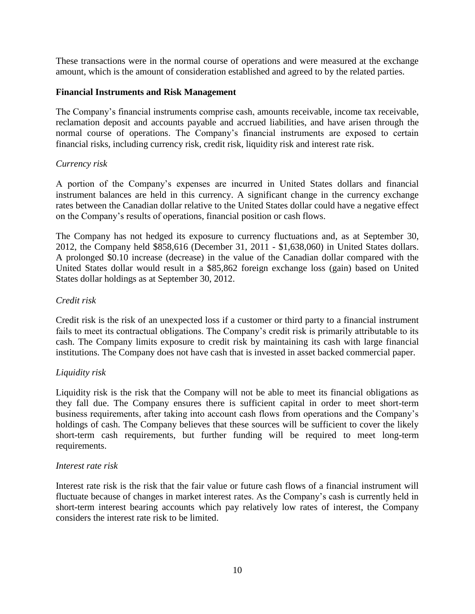These transactions were in the normal course of operations and were measured at the exchange amount, which is the amount of consideration established and agreed to by the related parties.

## **Financial Instruments and Risk Management**

The Company's financial instruments comprise cash, amounts receivable, income tax receivable, reclamation deposit and accounts payable and accrued liabilities, and have arisen through the normal course of operations. The Company's financial instruments are exposed to certain financial risks, including currency risk, credit risk, liquidity risk and interest rate risk.

## *Currency risk*

A portion of the Company's expenses are incurred in United States dollars and financial instrument balances are held in this currency. A significant change in the currency exchange rates between the Canadian dollar relative to the United States dollar could have a negative effect on the Company's results of operations, financial position or cash flows.

The Company has not hedged its exposure to currency fluctuations and, as at September 30, 2012, the Company held \$858,616 (December 31, 2011 - \$1,638,060) in United States dollars. A prolonged \$0.10 increase (decrease) in the value of the Canadian dollar compared with the United States dollar would result in a \$85,862 foreign exchange loss (gain) based on United States dollar holdings as at September 30, 2012.

## *Credit risk*

Credit risk is the risk of an unexpected loss if a customer or third party to a financial instrument fails to meet its contractual obligations. The Company's credit risk is primarily attributable to its cash. The Company limits exposure to credit risk by maintaining its cash with large financial institutions. The Company does not have cash that is invested in asset backed commercial paper.

## *Liquidity risk*

Liquidity risk is the risk that the Company will not be able to meet its financial obligations as they fall due. The Company ensures there is sufficient capital in order to meet short-term business requirements, after taking into account cash flows from operations and the Company's holdings of cash. The Company believes that these sources will be sufficient to cover the likely short-term cash requirements, but further funding will be required to meet long-term requirements.

## *Interest rate risk*

Interest rate risk is the risk that the fair value or future cash flows of a financial instrument will fluctuate because of changes in market interest rates. As the Company's cash is currently held in short-term interest bearing accounts which pay relatively low rates of interest, the Company considers the interest rate risk to be limited.